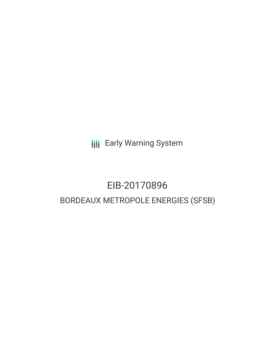**III** Early Warning System

# EIB-20170896 BORDEAUX METROPOLE ENERGIES (SFSB)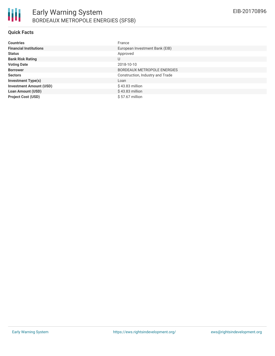

#### **Quick Facts**

| <b>Countries</b>               | France                             |
|--------------------------------|------------------------------------|
| <b>Financial Institutions</b>  | European Investment Bank (EIB)     |
| <b>Status</b>                  | Approved                           |
| <b>Bank Risk Rating</b>        | U                                  |
| <b>Voting Date</b>             | 2018-10-10                         |
| <b>Borrower</b>                | <b>BORDEAUX METROPOLE ENERGIES</b> |
| <b>Sectors</b>                 | Construction, Industry and Trade   |
| <b>Investment Type(s)</b>      | Loan                               |
| <b>Investment Amount (USD)</b> | $$43.83$ million                   |
| <b>Loan Amount (USD)</b>       | $$43.83$ million                   |
| <b>Project Cost (USD)</b>      | $$57.67$ million                   |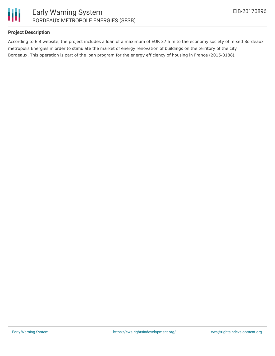

## **Project Description**

According to EIB website, the project includes a loan of a maximum of EUR 37.5 m to the economy society of mixed Bordeaux metropolis Energies in order to stimulate the market of energy renovation of buildings on the territory of the city Bordeaux. This operation is part of the loan program for the energy efficiency of housing in France (2015-0188).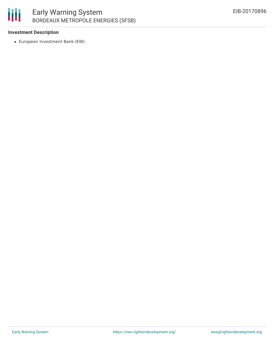## 冊 Early Warning System BORDEAUX METROPOLE ENERGIES (SFSB)

#### **Investment Description**

European Investment Bank (EIB)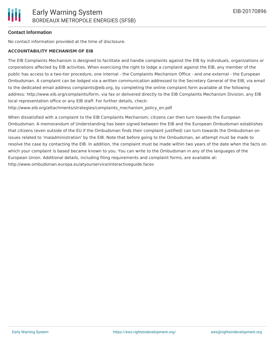## **Contact Information**

No contact information provided at the time of disclosure.

#### **ACCOUNTABILITY MECHANISM OF EIB**

The EIB Complaints Mechanism is designed to facilitate and handle complaints against the EIB by individuals, organizations or corporations affected by EIB activities. When exercising the right to lodge a complaint against the EIB, any member of the public has access to a two-tier procedure, one internal - the Complaints Mechanism Office - and one external - the European Ombudsman. A complaint can be lodged via a written communication addressed to the Secretary General of the EIB, via email to the dedicated email address complaints@eib.org, by completing the online complaint form available at the following address: http://www.eib.org/complaints/form, via fax or delivered directly to the EIB Complaints Mechanism Division, any EIB local representation office or any EIB staff. For further details, check:

http://www.eib.org/attachments/strategies/complaints\_mechanism\_policy\_en.pdf

When dissatisfied with a complaint to the EIB Complaints Mechanism, citizens can then turn towards the European Ombudsman. A memorandum of Understanding has been signed between the EIB and the European Ombudsman establishes that citizens (even outside of the EU if the Ombudsman finds their complaint justified) can turn towards the Ombudsman on issues related to 'maladministration' by the EIB. Note that before going to the Ombudsman, an attempt must be made to resolve the case by contacting the EIB. In addition, the complaint must be made within two years of the date when the facts on which your complaint is based became known to you. You can write to the Ombudsman in any of the languages of the European Union. Additional details, including filing requirements and complaint forms, are available at: http://www.ombudsman.europa.eu/atyourservice/interactiveguide.faces